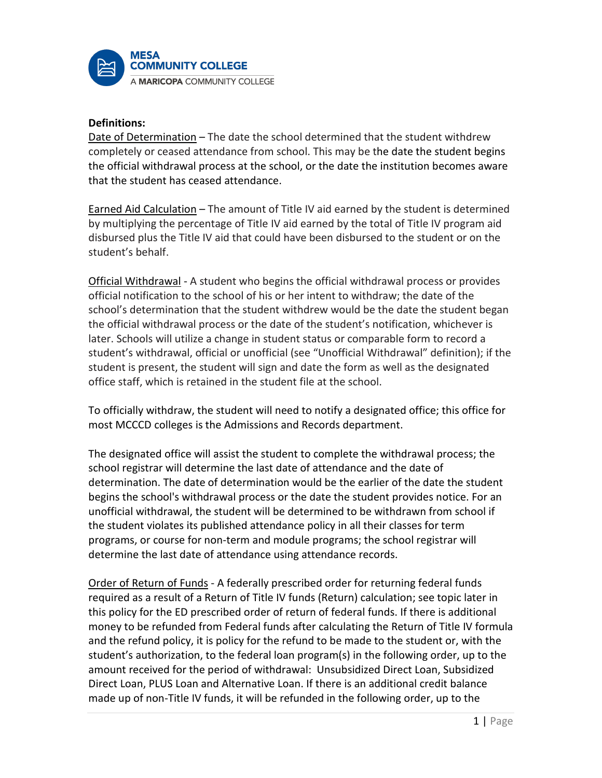

### **Definitions:**

Date of Determination – The date the school determined that the student withdrew completely or ceased attendance from school. This may be the date the student begins the official withdrawal process at the school, or the date the institution becomes aware that the student has ceased attendance.

Earned Aid Calculation – The amount of Title IV aid earned by the student is determined by multiplying the percentage of Title IV aid earned by the total of Title IV program aid disbursed plus the Title IV aid that could have been disbursed to the student or on the student's behalf.

Official Withdrawal - A student who begins the official withdrawal process or provides official notification to the school of his or her intent to withdraw; the date of the school's determination that the student withdrew would be the date the student began the official withdrawal process or the date of the student's notification, whichever is later. Schools will utilize a change in student status or comparable form to record a student's withdrawal, official or unofficial (see "Unofficial Withdrawal" definition); if the student is present, the student will sign and date the form as well as the designated office staff, which is retained in the student file at the school.

To officially withdraw, the student will need to notify a designated office; this office for most MCCCD colleges is the Admissions and Records department.

The designated office will assist the student to complete the withdrawal process; the school registrar will determine the last date of attendance and the date of determination. The date of determination would be the earlier of the date the student begins the school's withdrawal process or the date the student provides notice. For an unofficial withdrawal, the student will be determined to be withdrawn from school if the student violates its published attendance policy in all their classes for term programs, or course for non-term and module programs; the school registrar will determine the last date of attendance using attendance records.

Order of Return of Funds - A federally prescribed order for returning federal funds required as a result of a Return of Title IV funds (Return) calculation; see topic later in this policy for the ED prescribed order of return of federal funds. If there is additional money to be refunded from Federal funds after calculating the Return of Title IV formula and the refund policy, it is policy for the refund to be made to the student or, with the student's authorization, to the federal loan program(s) in the following order, up to the amount received for the period of withdrawal: Unsubsidized Direct Loan, Subsidized Direct Loan, PLUS Loan and Alternative Loan. If there is an additional credit balance made up of non-Title IV funds, it will be refunded in the following order, up to the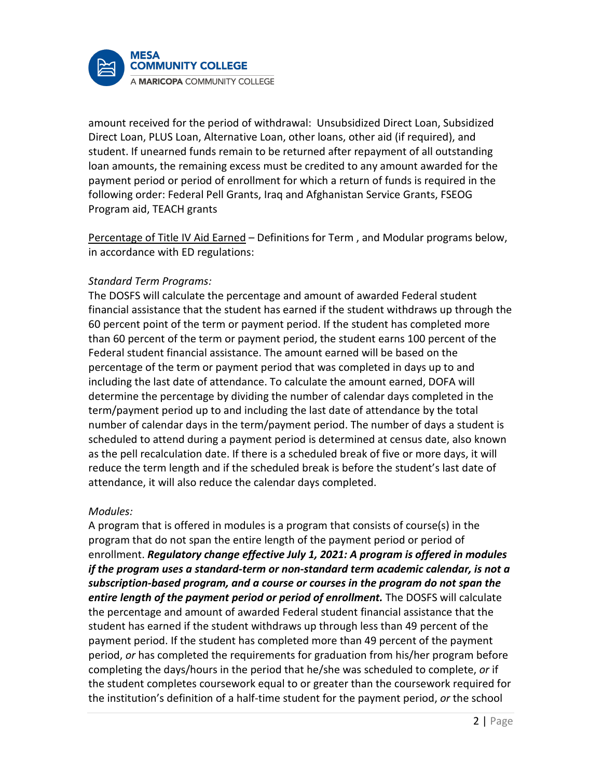

amount received for the period of withdrawal: Unsubsidized Direct Loan, Subsidized Direct Loan, PLUS Loan, Alternative Loan, other loans, other aid (if required), and student. If unearned funds remain to be returned after repayment of all outstanding loan amounts, the remaining excess must be credited to any amount awarded for the payment period or period of enrollment for which a return of funds is required in the following order: Federal Pell Grants, Iraq and Afghanistan Service Grants, FSEOG Program aid, TEACH grants

Percentage of Title IV Aid Earned – Definitions for Term , and Modular programs below, in accordance with ED regulations:

## *Standard Term Programs:*

The DOSFS will calculate the percentage and amount of awarded Federal student financial assistance that the student has earned if the student withdraws up through the 60 percent point of the term or payment period. If the student has completed more than 60 percent of the term or payment period, the student earns 100 percent of the Federal student financial assistance. The amount earned will be based on the percentage of the term or payment period that was completed in days up to and including the last date of attendance. To calculate the amount earned, DOFA will determine the percentage by dividing the number of calendar days completed in the term/payment period up to and including the last date of attendance by the total number of calendar days in the term/payment period. The number of days a student is scheduled to attend during a payment period is determined at census date, also known as the pell recalculation date. If there is a scheduled break of five or more days, it will reduce the term length and if the scheduled break is before the student's last date of attendance, it will also reduce the calendar days completed.

### *Modules:*

A program that is offered in modules is a program that consists of course(s) in the program that do not span the entire length of the payment period or period of enrollment. *Regulatory change effective July 1, 2021: A program is offered in modules if the program uses a standard-term or non-standard term academic calendar, is not a subscription-based program, and a course or courses in the program do not span the entire length of the payment period or period of enrollment.* The DOSFS will calculate the percentage and amount of awarded Federal student financial assistance that the student has earned if the student withdraws up through less than 49 percent of the payment period. If the student has completed more than 49 percent of the payment period, *or* has completed the requirements for graduation from his/her program before completing the days/hours in the period that he/she was scheduled to complete, *or* if the student completes coursework equal to or greater than the coursework required for the institution's definition of a half-time student for the payment period, *or* the school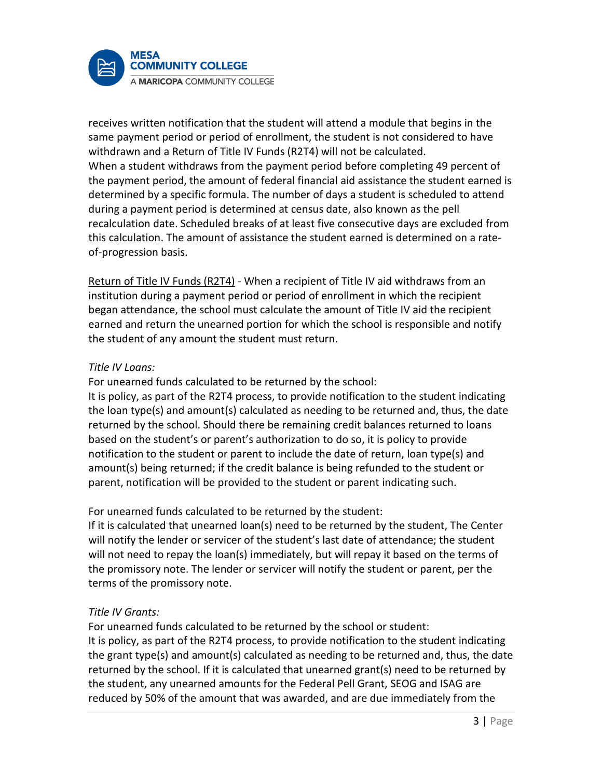

receives written notification that the student will attend a module that begins in the same payment period or period of enrollment, the student is not considered to have withdrawn and a Return of Title IV Funds (R2T4) will not be calculated. When a student withdraws from the payment period before completing 49 percent of the payment period, the amount of federal financial aid assistance the student earned is determined by a specific formula. The number of days a student is scheduled to attend during a payment period is determined at census date, also known as the pell recalculation date. Scheduled breaks of at least five consecutive days are excluded from this calculation. The amount of assistance the student earned is determined on a rateof-progression basis.

Return of Title IV Funds (R2T4) - When a recipient of Title IV aid withdraws from an institution during a payment period or period of enrollment in which the recipient began attendance, the school must calculate the amount of Title IV aid the recipient earned and return the unearned portion for which the school is responsible and notify the student of any amount the student must return.

# *Title IV Loans:*

For unearned funds calculated to be returned by the school:

It is policy, as part of the R2T4 process, to provide notification to the student indicating the loan type(s) and amount(s) calculated as needing to be returned and, thus, the date returned by the school. Should there be remaining credit balances returned to loans based on the student's or parent's authorization to do so, it is policy to provide notification to the student or parent to include the date of return, loan type(s) and amount(s) being returned; if the credit balance is being refunded to the student or parent, notification will be provided to the student or parent indicating such.

For unearned funds calculated to be returned by the student:

If it is calculated that unearned loan(s) need to be returned by the student, The Center will notify the lender or servicer of the student's last date of attendance; the student will not need to repay the loan(s) immediately, but will repay it based on the terms of the promissory note. The lender or servicer will notify the student or parent, per the terms of the promissory note.

# *Title IV Grants:*

For unearned funds calculated to be returned by the school or student: It is policy, as part of the R2T4 process, to provide notification to the student indicating the grant type(s) and amount(s) calculated as needing to be returned and, thus, the date returned by the school. If it is calculated that unearned grant(s) need to be returned by the student, any unearned amounts for the Federal Pell Grant, SEOG and ISAG are reduced by 50% of the amount that was awarded, and are due immediately from the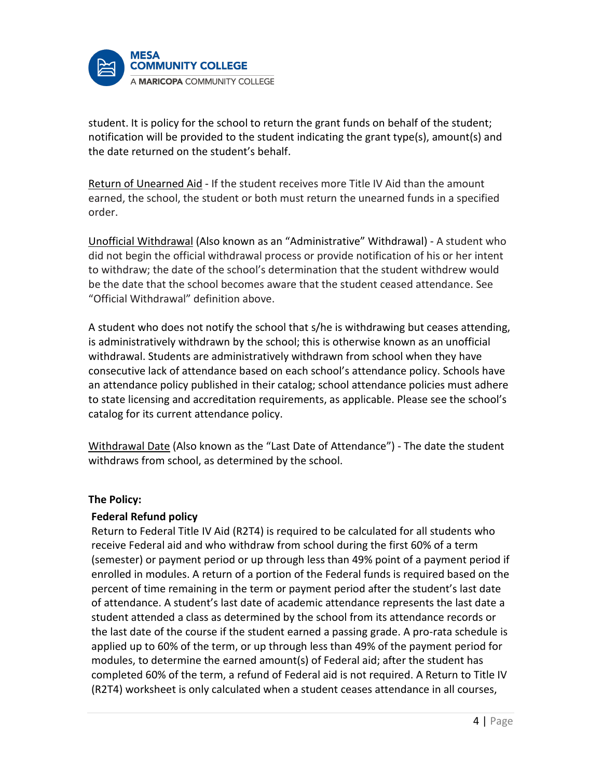

student. It is policy for the school to return the grant funds on behalf of the student; notification will be provided to the student indicating the grant type(s), amount(s) and the date returned on the student's behalf.

Return of Unearned Aid - If the student receives more Title IV Aid than the amount earned, the school, the student or both must return the unearned funds in a specified order.

Unofficial Withdrawal (Also known as an "Administrative" Withdrawal) - A student who did not begin the official withdrawal process or provide notification of his or her intent to withdraw; the date of the school's determination that the student withdrew would be the date that the school becomes aware that the student ceased attendance. See "Official Withdrawal" definition above.

A student who does not notify the school that s/he is withdrawing but ceases attending, is administratively withdrawn by the school; this is otherwise known as an unofficial withdrawal. Students are administratively withdrawn from school when they have consecutive lack of attendance based on each school's attendance policy. Schools have an attendance policy published in their catalog; school attendance policies must adhere to state licensing and accreditation requirements, as applicable. Please see the school's catalog for its current attendance policy.

Withdrawal Date (Also known as the "Last Date of Attendance") - The date the student withdraws from school, as determined by the school.

# **The Policy:**

### **Federal Refund policy**

Return to Federal Title IV Aid (R2T4) is required to be calculated for all students who receive Federal aid and who withdraw from school during the first 60% of a term (semester) or payment period or up through less than 49% point of a payment period if enrolled in modules. A return of a portion of the Federal funds is required based on the percent of time remaining in the term or payment period after the student's last date of attendance. A student's last date of academic attendance represents the last date a student attended a class as determined by the school from its attendance records or the last date of the course if the student earned a passing grade. A pro-rata schedule is applied up to 60% of the term, or up through less than 49% of the payment period for modules, to determine the earned amount(s) of Federal aid; after the student has completed 60% of the term, a refund of Federal aid is not required. A Return to Title IV (R2T4) worksheet is only calculated when a student ceases attendance in all courses,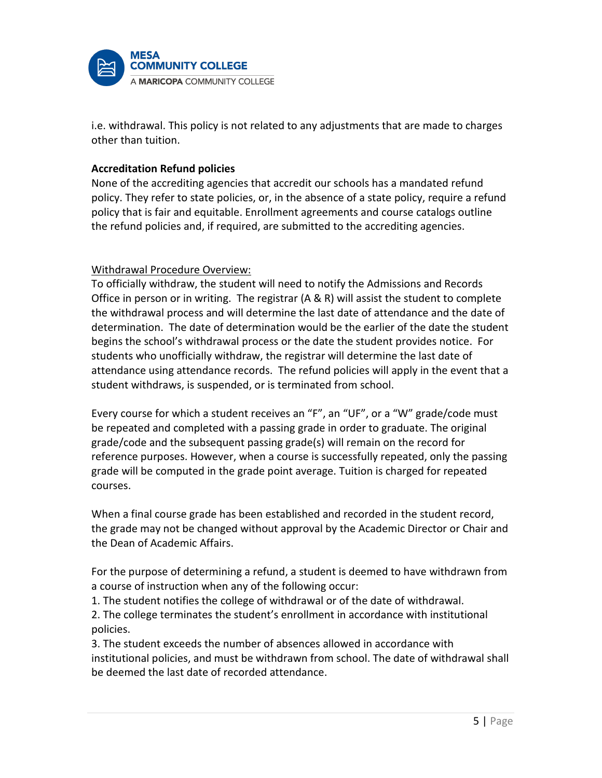

i.e. withdrawal. This policy is not related to any adjustments that are made to charges other than tuition.

## **Accreditation Refund policies**

None of the accrediting agencies that accredit our schools has a mandated refund policy. They refer to state policies, or, in the absence of a state policy, require a refund policy that is fair and equitable. Enrollment agreements and course catalogs outline the refund policies and, if required, are submitted to the accrediting agencies.

## Withdrawal Procedure Overview:

To officially withdraw, the student will need to notify the Admissions and Records Office in person or in writing. The registrar (A & R) will assist the student to complete the withdrawal process and will determine the last date of attendance and the date of determination. The date of determination would be the earlier of the date the student begins the school's withdrawal process or the date the student provides notice. For students who unofficially withdraw, the registrar will determine the last date of attendance using attendance records. The refund policies will apply in the event that a student withdraws, is suspended, or is terminated from school.

Every course for which a student receives an "F", an "UF", or a "W" grade/code must be repeated and completed with a passing grade in order to graduate. The original grade/code and the subsequent passing grade(s) will remain on the record for reference purposes. However, when a course is successfully repeated, only the passing grade will be computed in the grade point average. Tuition is charged for repeated courses.

When a final course grade has been established and recorded in the student record, the grade may not be changed without approval by the Academic Director or Chair and the Dean of Academic Affairs.

For the purpose of determining a refund, a student is deemed to have withdrawn from a course of instruction when any of the following occur:

1. The student notifies the college of withdrawal or of the date of withdrawal.

2. The college terminates the student's enrollment in accordance with institutional policies.

3. The student exceeds the number of absences allowed in accordance with institutional policies, and must be withdrawn from school. The date of withdrawal shall be deemed the last date of recorded attendance.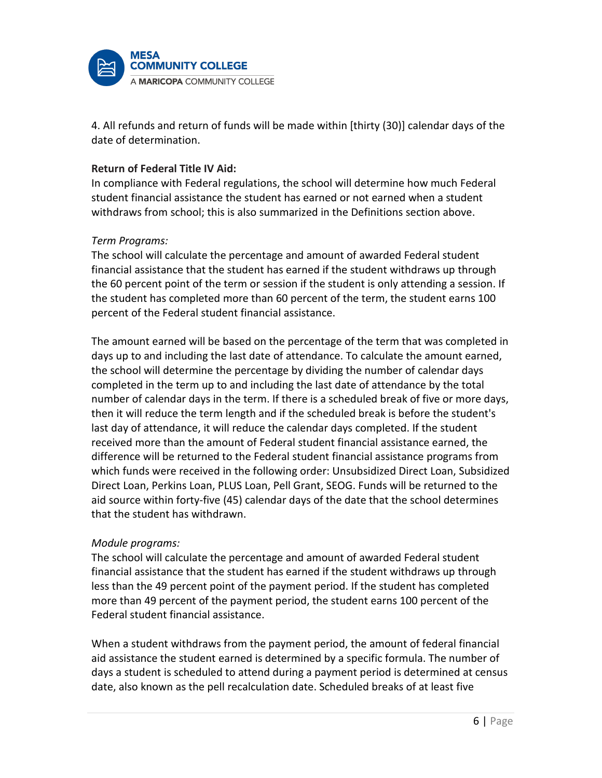

4. All refunds and return of funds will be made within [thirty (30)] calendar days of the date of determination.

## **Return of Federal Title IV Aid:**

In compliance with Federal regulations, the school will determine how much Federal student financial assistance the student has earned or not earned when a student withdraws from school; this is also summarized in the Definitions section above.

## *Term Programs:*

The school will calculate the percentage and amount of awarded Federal student financial assistance that the student has earned if the student withdraws up through the 60 percent point of the term or session if the student is only attending a session. If the student has completed more than 60 percent of the term, the student earns 100 percent of the Federal student financial assistance.

The amount earned will be based on the percentage of the term that was completed in days up to and including the last date of attendance. To calculate the amount earned, the school will determine the percentage by dividing the number of calendar days completed in the term up to and including the last date of attendance by the total number of calendar days in the term. If there is a scheduled break of five or more days, then it will reduce the term length and if the scheduled break is before the student's last day of attendance, it will reduce the calendar days completed. If the student received more than the amount of Federal student financial assistance earned, the difference will be returned to the Federal student financial assistance programs from which funds were received in the following order: Unsubsidized Direct Loan, Subsidized Direct Loan, Perkins Loan, PLUS Loan, Pell Grant, SEOG. Funds will be returned to the aid source within forty-five (45) calendar days of the date that the school determines that the student has withdrawn.

### *Module programs:*

The school will calculate the percentage and amount of awarded Federal student financial assistance that the student has earned if the student withdraws up through less than the 49 percent point of the payment period. If the student has completed more than 49 percent of the payment period, the student earns 100 percent of the Federal student financial assistance.

When a student withdraws from the payment period, the amount of federal financial aid assistance the student earned is determined by a specific formula. The number of days a student is scheduled to attend during a payment period is determined at census date, also known as the pell recalculation date. Scheduled breaks of at least five